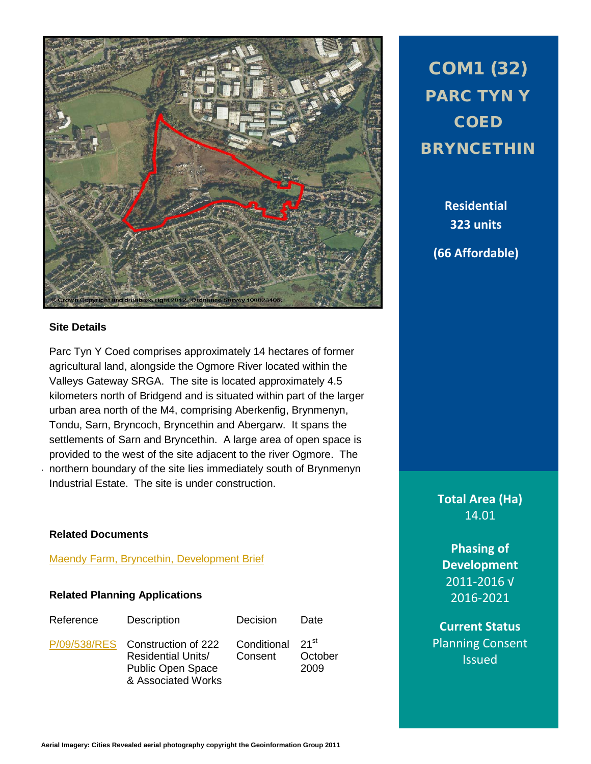

## **Site Details**

. northern boundary of the site lies immediately south of Brynmenyn Parc Tyn Y Coed comprises approximately 14 hectares of former agricultural land, alongside the Ogmore River located within the Valleys Gateway SRGA. The site is located approximately 4.5 kilometers north of Bridgend and is situated within part of the larger urban area north of the M4, comprising Aberkenfig, Brynmenyn, Tondu, Sarn, Bryncoch, Bryncethin and Abergarw. It spans the settlements of Sarn and Bryncethin. A large area of open space is provided to the west of the site adjacent to the river Ogmore. The Industrial Estate. The site is under construction.

COM1 (32) PARC TYN Y **COED** BRYNCETHIN

> **Residential 323 units (66 Affordable)**

**Total Area (Ha)** 14.01

**Phasing of Development** 2011-2016 √ 2016-2021

**Related Documents**

[Maendy Farm, Bryncethin, Development Brief](http://www1.bridgend.gov.uk/media/186868/maendy-farm-development-brief.pdf)

## **Related Planning Applications**

| Reference | Description                                                                                                     | <b>Decision</b>        | Date                                  |
|-----------|-----------------------------------------------------------------------------------------------------------------|------------------------|---------------------------------------|
|           | P/09/538/RES Construction of 222<br><b>Residential Units/</b><br><b>Public Open Space</b><br>& Associated Works | Conditional<br>Consent | $21$ <sup>St</sup><br>October<br>2009 |

**Current Status** Planning Consent Issued